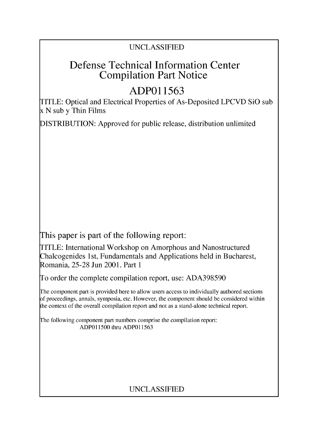## UNCLASSIFIED

## Defense Technical Information Center Compilation Part Notice

# **ADPO1 1563**

TITLE: Optical and Electrical Properties of As-Deposited LPCVD SiO sub x N sub y Thin Films

DISTRIBUTION: Approved for public release, distribution unlimited

This paper is part of the following report:

TITLE: International Workshop on Amorphous and Nanostructured Chalcogenides 1 st, Fundamentals and Applications held in Bucharest, Romania, 25-28 Jun 2001. Part 1

To order the complete compilation report, use: ADA398590

The component part is provided here to allow users access to individually authored sections f proceedings, annals, symposia, etc. However, the component should be considered within [he context of the overall compilation report and not as a stand-alone technical report.

The following component part numbers comprise the compilation report: ADPO11500 thru ADP011563

## UNCLASSIFIED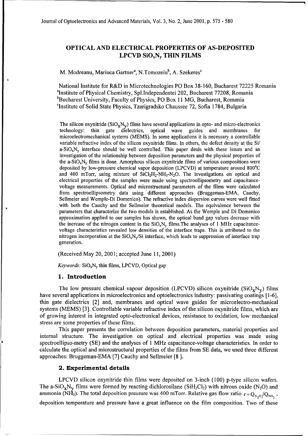### **OPTICAL AND** ELECTRICAL PROPERTIES OF **AS-DEPOSITED** LPCVD SiOxNy **THIN** FILMS

M. Modreanu, Mariuca Gartner<sup>a</sup>, N.Tomozeiu<sup>b</sup>, A. Szekeres<sup>c</sup>

National Institute for R&D in Microtechnologies PO Box 38-160, Bucharest 72225 Romania "Institute of Physical Chemistry, Spl.Independentei 202, Bucharest 77208, Romania <sup>b</sup>Bucharest University, Faculty of Physics, PO Box 11 MG, Bucharest, Romania 'Institute of Solid State Physics, Tzarigradsko Chaussee 72, Sofia 1784, Bulgaria

The silicon oxynitride  $(SiO_vN_v)$  films have several applications in opto- and micro-electronics technology: thin gate dielectrics, optical wave guides and membranes for microelectromechanical systems (MEMS). In some applications it is necessary a controllable variable refractive index of the silicon oxynitride films. In others, the defect density at the Si/  $a-SiO_xN_v$  interface should be well controlled. This paper deals with these issues and an investigation of the relationship between deposition parameters and the physical properties of the a-SiO<sub>x</sub>N<sub>y</sub> films is done. Amorphous silicon oxynitride films of various compositions were deposited by low-pressure chemical vapor deposition (LPCVD) at temperature around 800'C and 400 mTorr, using mixture of  $SiCl<sub>2</sub>H<sub>2</sub>-NH<sub>3</sub>-N<sub>2</sub>O$ . The investigations on optical and electrical properties of the samples were made using spectroellipsometry and capacitancevoltage measurements. Optical and microstructural parameters of the films were calculated from spectroellipsometry data using different approaches (Bruggeman-EMA, Cauchy, Sellmeier and Wemple-Di Domenico). The refractive index dispersion curves were well fitted with both the Cauchy and the Sellmeier theoretical models. The equivalence between the parameters that characterize the two models is established. As the Wemple and Di Domenico approximation applied to our samples has shown, the optical band gap values decrease with the increase of the nitrogen content in the  $SiO_xN_y$  films. The analyses of 1 MHz capacitancevoltage characteristics revealed low densities of the interface traps. This is attributed to the nitrogen incorporation at the  $SiO_xN_v/Si$  interface, which leads to suppression of interface trap generation.

(Received May 20, 2001; accepted June 11, 2001)

*Keywords:*  $SiO_xN_y$  thin films, LPCVD, Optical gap

#### **1.** Introduction

The low pressure chemical vapour deposition (LPCVD) silicon oxynitride  $(SiO_xN_v)$  films have several applications in microelectronics and optoelectronics industry: passivating coatings [1-6], thin gate dielectrics [2] and, membranes and optical wave guides for microelectro-mechanical systems (MEMS) [3]. Controllable variable refractive index of the silicon oxynitride films, which are of growing interest in integrated opto-electronical devices, resistance to oxidation, low mechanical stress are some properties of these films.

This paper presents the correlation between deposition parameters, material properties and internal structure. The investigation on optical and electrical properties was made using spectroellipso-metry (SE) and the analyses of 1 MHz capacitance-voltage characteristics. In order to calculate the optical and microstructural properties of the films from SE data, we used three different approaches: Bruggeman-EMA [7] Cauchy and Sellmeier [8].

#### 2. Experimental details

LPCVD silicon oxynitride thin films were deposited on 3-inch (100) p-type silicon wafers. The a-SiO<sub>x</sub>N<sub>V</sub> films were formed by reacting dichlorosilane (SiH<sub>2</sub>Cl<sub>2</sub>) with nitrous oxide (N<sub>2</sub>O) and ammonia (NH<sub>3</sub>). The total deposition pressure was 400 mTorr. Relative gas flow ratio  $r = Q_{N,0}/Q_{NH_3}$ , deposition temperature and pressure have a great influence on the film composition. Two of these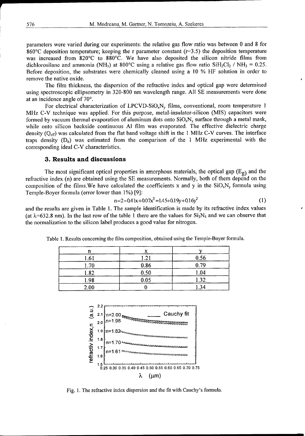parameters were varied during our experiments: the relative gas flow ratio was between 0 and 8 for 860 $\degree$ C deposition temperature; keeping the r parameter constant (r=3.5) the deposition temperature was increased from 820'C to 880°C. We have also deposited the silicon nitride films from dichlorosilane and ammonia (NH<sub>3</sub>) at 800°C using a relative gas flow ratio SiH<sub>2</sub>Cl<sub>2</sub> / NH<sub>3</sub> = 0.25. Before deposition, the substrates were chemically cleaned using a 10 % HF solution in order to remove the native oxide.

The film thickness, the dispersion of the refractive index and optical gap were determined using spectroscopic ellipsometry in 320-800 nm wavelength range. All SE measurements were done at an incidence angle of 70'.

For electrical characterization of LPCVD-SiO<sub>x</sub>N<sub>y</sub> films, conventional, room temperature 1 MHz C-V technique was applied. For this purpose, metal-insulator-silicon (MIS) capacitors were formed by vacuum thermal evaporation of aluminum dots onto  $SiO_xN_y$  surface through a metal mask, while onto silicon backside continuous **Al** filn was evaporated. The effective dielectric charge density  $(Q_{\text{eff}})$  was calculated from the flat band voltage shift in the 1 MHz C-V curves. The interface traps density  $(D_{ii})$  was estimated from the comparison of the 1 MHz experimental with the corresponding ideal C-V characteristics.

#### **3.** Results and discussions

The most significant optical properties in amorphous materials, the optical gap  $(E_g)$  and the refractive index (n) are obtained using the SE measurements. Normally, both of them depend on the composition of the films. We have calculated the coefficients x and y in the  $SiO<sub>x</sub>N<sub>y</sub>$  formula using Temple-Boyer formula (error lower than 1%) [9]:

$$
n=2-0.41x+0.07x^2=1.45+0.19y+0.16y^2
$$
 (1)

and the results are given in Table 1. The sample identification is made by its refractive index values (at  $\lambda$ =632.8 nm). In the last row of the table 1 there are the values for Si<sub>3</sub>N<sub>4</sub> and we can observe that the normalization to the silicon label produces a good value for nitrogen.

| 1.61 | 1.21 | 0.56          |
|------|------|---------------|
| 1.70 | 0.86 | 0.79          |
| .82  | 0.50 | 1.04          |
| 1.98 | 0.05 | 1.32          |
| 2.00 |      | $\mathcal{A}$ |

Table **1.** Results concerning the film composition, obtained using the Temple-Boyer formula.



Fig. 1. The refractive index dispersion and the fit with Cauchy's formula.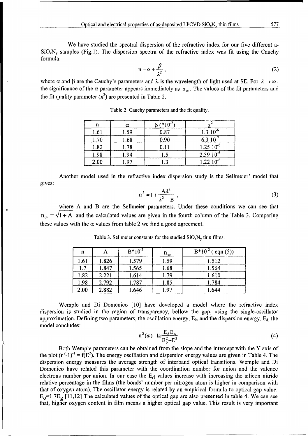We have studied the spectral dispersion of the refractive index for our five different a- $SiO_xN_y$  samples (Fig.1). The dispersion spectra of the refractive index was fit using the Cauchy formula:

$$
n = \alpha + \frac{\beta}{\lambda^2},\tag{2}
$$

where  $\alpha$  and  $\beta$  are the Cauchy's parameters and  $\lambda$  is the wavelength of light used at SE. For  $\lambda \rightarrow \infty$ , the significance of the  $\alpha$  parameter appears immediately as  $n_{\alpha}$ . The values of the fit parameters and the fit quality parameter  $(x^2)$  are presented in Table 2.

| n    | α    | $(*10^{-2})$ |                  |
|------|------|--------------|------------------|
| 1.61 | 1.59 | 0.87         | $1.3 \; 10^{-6}$ |
| 1.70 | 1.68 | 0.90         | 6.3 $10^{-7}$    |
| 1.82 | 1.78 | 0.11         | $1.25\ 10^{-6}$  |
| 1.98 | 1.94 | l .5         | $2.3910^{6}$     |
| 2.00 | 1.97 | .3           | $1.22~10^{-6}$   |

Table 2. Cauchy parameters and the fit quality.

Another model used in the refractive index dispersion study is the Sellmeier' model that gives:

$$
n^2 = 1 + \frac{A\lambda^2}{\lambda^2 - B} \tag{3}
$$

where A and B are the Sellmeier parameters. Under these conditions we can see that  $n_{\infty} = \sqrt{1+A}$  and the calculated values are given in the fourth column of the Table 3. Comparing these values with the  $\alpha$  values from table 2 we find a good agreement.

| n    |       | $B*10^{-2}$ | $n_{\infty}$ | $B*10^{-2}$ (eqn (5)) |
|------|-------|-------------|--------------|-----------------------|
| 1.61 | 1.826 | 1.579       | 1.59         | 1.512                 |
| 1.7  | 1.847 | 1.565       | 1.68         | 1.564                 |
| 1.82 | 2.221 | 1.614       | 1.79         | 1.610                 |
| 1.98 | 2.792 | 1.787       | 1.85         | 1.784                 |
| 2.00 | 2.882 | 1.646       | 1.97         | 1.644                 |

Table 3. Sellmeier constants for the studied  $SiO_xN_v$  thin films.

Wemple and Di Domenico [10] have developed a model where the refractive index dispersion is studied in the region of transparency, bellow the gap, using the single-oscillator approximation. Defining two parameters, the oscillation energy,  $E_0$ , and the dispersion energy,  $E_d$ , the model concludes:

$$
n^{2}(\omega) - 1 \leq \frac{E_{d}E_{o}}{E_{o}^{2} - E^{2}}
$$
 (4)

Both Wemple parameters can be obtained from the slope and the intercept with the Y axis of the plot  $(n^2-1)^{-1} = f(E^2)$ . The energy oscillation and dispersion energy values are given in Table 4. The dispersion energy measures the average strength of interband optical transitions. Wemple and Di Domenico have related this parameter with the coordination number for anion and the valence electrons number per anion. In our case the  $E_d$  values increase with increasing the silicon nitride relative percentage in the films (the bonds' number per nitrogen atom is higher in comparison with that of oxygen atom). The oscillator energy is related by an empirical formula to optical gap value:  $E_0$ =1.7 $E_g$  [11,12] The calculated values of the optical gap are also presented in table 4. We can see that, higher oxygen content in film means a higher optical gap value. This result is very important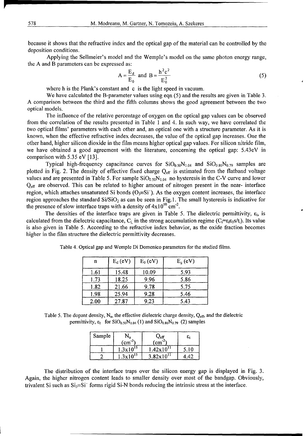because it shows that the refractive index and the optical gap of the material can be controlled by the deposition conditions.

Applying the Sellmeier's model and the Wemple's model on the same photon energy range, the A and B parameters can be expressed as:

$$
A = \frac{E_d}{E_0} \text{ and } B = \frac{h^2 c^2}{E_0^2}
$$
 (5)

where h is the Plank's constant and c is the light speed in vacuum.

We have calculated the B-parameter values using eqn (5) and the results are given in Table 3. A comparison between the third and the fifth columns shows the good agreement between the two optical models.

The influence of the relative percentage of oxygen on the optical gap values can be observed from the correlation of the results presented in Table 1 and 4. In such way, we have correlated the two optical films' parameters with each other and, an optical one with a structure parameter. As it is known, when the effective refractive index decreases, the value of the optical gap increases. One the other hand, higher silicon dioxide in the film means higher optical gap values. For silicon nitride film, we have obtained a good agreement with the literature, concerning the optical gap: 5.43eV in comparison with 5.35 eV [13].

Typical high-frequency capacitance curves for  $SiO_{0.50}N_{1.04}$  and  $SiO_{0.86}N_{0.79}$  samples are plotted in Fig. 2. The density of effective fixed charge **Qef** is estimated from the flatband voltage values and are presented in Table 5. For sample  $\rm SiO_{0.50}N_{1.04}$  no hysteresis in the C-V curve and lower **Qeff** are observed. This can be related to higher amount of nitrogen present in the near- interface region, which attaches unsaturated Si bonds ( $O<sub>3</sub>=Si'$ ). As the oxygen content increases, the interface region approaches the standard  $Si/SiO<sub>2</sub>$  as can be seen in Fig.1. The small hysteresis is indicative for the presence of slow interface traps with a density of  $4 \times 10^{10}$  cm<sup>-2</sup>.

The densities of the interface traps are given in Table 5. The dielectric permittivity,  $\varepsilon_{i}$ , is calculated from the dielectric capacitance,  $C_i$  in the strong accumulation regime ( $C_i = \varepsilon_i \varepsilon_0 s/t_i$ ). Its value is also given in Table 5. According to the refractive index behavior, as the oxide fraction becomes higher in the film structure the dielectric permittivity decreases.

| n    | $E_d$ (eV) | $E_0$ (eV) | $E_{g}$ (eV) |
|------|------------|------------|--------------|
| 1.61 | 15.48      | 10.09      | 5.93         |
| 1.73 | 18.25      | 9.96       | 5.86         |
| 1.82 | 21.66      | 9.78       | 5.75         |
| 1.98 | 25.94      | 9.28       | 5.46         |
| 2.00 | 27.87      | 9.23       | 5.43         |

Table 4. Optical gap and Wemple Di Domenico parameters for the studied films.

Table 5. The dopant density, N<sub>a</sub>, the effective dielectric charge density, Q<sub>eff</sub>, and the dielectric permittivity,  $\varepsilon_1$  for SiO<sub>0.50</sub>N<sub>1.04</sub> (1) and SiO<sub>0.86</sub>N<sub>0.79</sub> (2) samples

| Sample | $N_2$                | $\mathcal{Q}_{\text{eff}}$ | $\epsilon_{\rm i}$ |
|--------|----------------------|----------------------------|--------------------|
|        | (cm                  | $\text{cm}^{-2}$           |                    |
|        | $1.3 \times 10^{15}$ | $1.42 \times 10^{11}$      | 5.10               |
|        | $1.3 \times 10^{15}$ | $3.82 \times 10^{11}$      |                    |

The distribution of the interface traps over the silicon energy gap is displayed in Fig. 3. Again, the higher nitrogen content leads to smaller density over most of the bandgap. Obviously, trivalent Si such as  $Si_3 \equiv Si'$  forms rigid Si-N bonds reducing the intrinsic stress at the interface.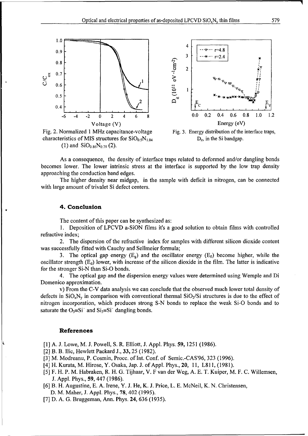



characteristics of MIS structures for  $SiO<sub>0.5</sub>N<sub>1.0</sub>$ (1) and  $SiO_{0.86}N_{0.79}$  (2).

Fig. 2. Normalized 1 MHz capacitance-voltage Fig. 3. Energy distribution of the interface traps,  $D_{it}$ , in the Si bandgap.

As a consequence, the density of interface traps related to deformed and/or dangling bonds becomes lower. The lower intrinsic stress at the interface is supported by the low trap density approaching the conduction band edges.

The higher density near midgap, in the sample with deficit in nitrogen, can be connected with large amount of trivalet Si defect centers.

#### 4. Conclusion

The content of this paper can be synthesized as:

**1.** Deposition of LPCVD a-SiON films it's a good solution to obtain films with controlled refractive index;

2. The dispersion of the refractive index for samples with different silicon dioxide content was successfully fitted with Cauchy and Sellmeier formula;

3. The optical gap energy  $(E_{\rm g})$  and the oscillator energy  $(E_{\rm o})$  become higher, while the oscillator strength  $(E_d)$  lower, with increase of the silicon dioxide in the film. The latter is indicative for the stronger Si-N than Si-O bonds.

4. The optical gap and the dispersion energy values were determined using Wemple and Di Domenico approximation.

v) From the C-V data analysis we can conclude that the observed much lower total density of defects in  $SiO_xN_v$  in comparison with conventional thermal  $SiO_2/Si$  structures is due to the effect of nitrogen incorporation, which produces strong S-N bonds to replace the weak Si-O bonds and to saturate the  $O_3 = Si'$  and  $Si_3 = Si'$  dangling bonds.

#### References

[1] A. J. Lowe, M. J. Powell, S. R. Elliott, J. Appl. Phys. **59,** 1251 (1986).

[2] B. B. Ilic, Hewlett Packard J., 33, 25 (1982).

**[3]** M. Modreanu, P. Cosmin, Procc. of Int. Conf. of Semic.-CAS'96, 323 (1996).

[4] H. Kurata, M. Hirose, Y. Osaka, Jap. J. of Appl. Phys., 20, 11, L811, (1981).

- **[5]** F. H. P. M. Habraken, R. H. G. Tijhaar, V. F van der Weg, A. E. T. Kuiper, M. F. C. Willemsen, J. Appl. Phys., 59, 447 (1986).
- [6] B. H. Augustine, E. A. Irene, Y. J. He, K. J. Price, L. E. McNeil, K. N. Christensen,

D. M. Maher, J. Appl. Phys., 78, 402 (1995).

[7] D. A. G. Bruggeman, Ann. Phys. 24, 636 (1935).